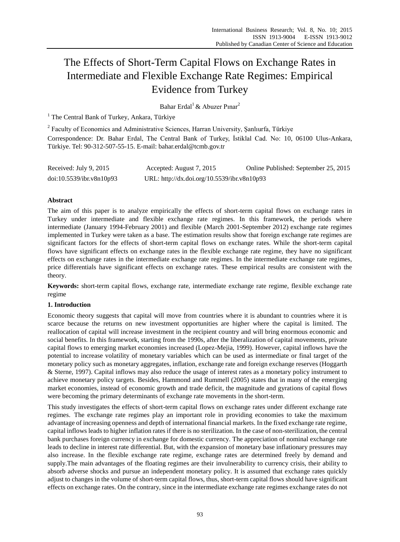# The Effects of Short-Term Capital Flows on Exchange Rates in Intermediate and Flexible Exchange Rate Regimes: Empirical Evidence from Turkey

Bahar Erdal<sup>1</sup> & Abuzer Pınar<sup>2</sup>

 $1$  The Central Bank of Turkey, Ankara, Türkiye

<sup>2</sup> Faculty of Economics and Administrative Sciences, Harran University, Şanlıurfa, Türkiye Correspondence: Dr. Bahar Erdal, The Central Bank of Turkey, İstiklal Cad. No: 10, 06100 Ulus-Ankara, Türkiye. Tel: 90-312-507-55-15. E-mail: bahar.erdal@tcmb.gov.tr

| Received: July 9, 2015   | Accepted: August 7, 2015                    | Online Published: September 25, 2015 |
|--------------------------|---------------------------------------------|--------------------------------------|
| doi:10.5539/ibr.v8n10p93 | URL: http://dx.doi.org/10.5539/ibr.v8n10p93 |                                      |

# **Abstract**

The aim of this paper is to analyze empirically the effects of short-term capital flows on exchange rates in Turkey under intermediate and flexible exchange rate regimes. In this framework, the periods where intermediate (January 1994-February 2001) and flexible (March 2001-September 2012) exchange rate regimes implemented in Turkey were taken as a base. The estimation results show that foreign exchange rate regimes are significant factors for the effects of short-term capital flows on exchange rates. While the short-term capital flows have significant effects on exchange rates in the flexible exchange rate regime, they have no significant effects on exchange rates in the intermediate exchange rate regimes. In the intermediate exchange rate regimes, price differentials have significant effects on exchange rates. These empirical results are consistent with the theory.

**Keywords:** short-term capital flows, exchange rate, intermediate exchange rate regime, flexible exchange rate regime

# **1. Introduction**

Economic theory suggests that capital will move from countries where it is abundant to countries where it is scarce because the returns on new investment opportunities are higher where the capital is limited. The reallocation of capital will increase investment in the recipient country and will bring enormous economic and social benefits. In this framework, starting from the 1990s, after the liberalization of capital movements, private capital flows to emerging market economies increased (Lopez-Mejia, 1999). However, capital inflows have the potential to increase volatility of monetary variables which can be used as intermediate or final target of the monetary policy such as monetary aggregates, inflation, exchange rate and foreign exchange reserves (Hoggarth & Sterne, 1997). Capital inflows may also reduce the usage of interest rates as a monetary policy instrument to achieve monetary policy targets. Besides, Hammond and Rummell (2005) states that in many of the emerging market economies, instead of economic growth and trade deficit, the magnitude and gyrations of capital flows were becoming the primary determinants of exchange rate movements in the short-term.

This study investigates the effects of short-term capital flows on exchange rates under different exchange rate regimes. The exchange rate regimes play an important role in providing economies to take the maximum advantage of increasing openness and depth of international financial markets. In the fixed exchange rate regime, capital inflows leads to higher inflation rates if there is no sterilization. In the case of non-sterilization, the central bank purchases foreign currency in exchange for domestic currency. The appreciation of nominal exchange rate leads to decline in interest rate differential. But, with the expansion of monetary base inflationary pressures may also increase. In the flexible exchange rate regime, exchange rates are determined freely by demand and supply.The main advantages of the floating regimes are their invulnerability to currency crisis, their ability to absorb adverse shocks and pursue an independent monetary policy. It is assumed that exchange rates quickly adjust to changes in the volume of short-term capital flows, thus, short-term capital flows should have significant effects on exchange rates. On the contrary, since in the intermediate exchange rate regimes exchange rates do not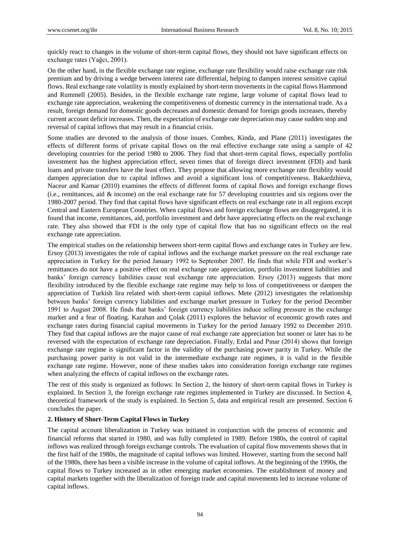quickly react to changes in the volume of short-term capital flows, they should not have significant effects on exchange rates (Yağcı, 2001).

On the other hand, in the flexible exchange rate regime, exchange rate flexibility would raise exchange rate risk premium and by driving a wedge between interest rate differential, helping to dampen interest sensitive capital flows. Real exchange rate volatility is mostly explained by short-term movements in the capital flows Hammond and Rummell (2005). Besides, in the flexible exchange rate regime, large volume of capital flows lead to exchange rate appreciation, weakening the competitiveness of domestic currency in the international trade. As a result, foreign demand for domestic goods decreases and domestic demand for foreign goods increases, thereby current account deficit increases. Then, the expectation of exchange rate depreciation may cause sudden stop and reversal of capital inflows that may result in a financial crisis.

Some studies are devoted to the analysis of those issues. Combes, Kinda, and Plane (2011) investigates the effects of different forms of private capital flows on the real effective exchange rate using a sample of 42 developing countries for the period 1980 to 2006. They find that short-term capital flows, especially portfolio investment has the highest appreciation effect, seven times that of foreign direct investment (FDI) and bank loans and private transfers have the least effect. They propose that allowing more exchange rate flexiblity would dampen appreciation due to capital inflows and avoid a significant loss of competitiveness. Bakardzhieva, Naceur and Kamar (2010) examines the effects of different forms of capital flows and foreign exchange flows (i.e., remittances, aid  $&$  income) on the real exchange rate for 57 developing countries and six regions over the 1980-2007 period. They find that capital flows have significant effects on real exchange rate in all regions except Central and Eastern European Countries. When capital flows and foreign exchange flows are disaggregated, it is found that income, remittances, aid, portfolio investment and debt have appreciating effects on the real exchange rate. They also showed that FDI is the only type of capital flow that has no significant effects on the real exchange rate appreciation.

The empirical studies on the relationship between short-term capital flows and exchange rates in Turkey are few. Ersoy (2013) investigates the role of capital inflows and the exchange market pressure on the real exchange rate appreciation in Turkey for the period January 1992 to September 2007. He finds that while FDI and worker's remittances do not have a positive effect on real exchange rate appreciation, portfolio investment liabilities and banks' foreign currency liabilities cause real exchange rate appreciation. Ersoy (2013) suggests that more flexibility introduced by the flexible exchange rate regime may help to loss of competitiveness or dampen the appreciation of Turkish lira related with short-term capital inflows. Mete (2012) investigates the relationship between banks' foreign currency liabilities and exchange market pressure in Turkey for the period December 1991 to August 2008. He finds that banks' foreign currency liabilities induce selling pressure in the exchange market and a fear of floating. Karahan and Ç olak (2011) explores the behavior of economic growth rates and exchange rates during financial capital movements in Turkey for the period January 1992 to December 2010. They find that capital inflows are the major cause of real exchange rate appreciation but sooner or later has to be reversed with the expectation of exchange rate depreciation. Finally, Erdal and Pınar (2014) shows that foreign exchange rate regime is significant factor in the validity of the purchasing power parity in Turkey. While the purchasing power parity is not valid in the intermediate exchange rate regimes, it is valid in the flexible exchange rate regime. However, none of these studies takes into consideration foreign exchange rate regimes when analyzing the effects of capital inflows on the exchange rates.

The rest of this study is organized as follows: In Section 2, the history of short-term capital flows in Turkey is explained. In Section 3, the foreign exchange rate regimes implemented in Turkey are discussed. In Section 4, theoretical framework of the study is explained. In Section 5, data and empirical result are presented. Section 6 concludes the paper.

# **2. History of Short-Term Capital Flows in Turkey**

The capital account liberalization in Turkey was initiated in conjunction with the process of economic and financial reforms that started in 1980, and was fully completed in 1989. Before 1980s, the control of capital inflows was realized through foreign exchange controls. The evaluation of capital flow movements shows that in the first half of the 1980s, the magnitude of capital inflows was limited. However, starting from the second half of the 1980s, there has been a visible increase in the volume of capital inflows. At the beginning of the 1990s, the capital flows to Turkey increased as in other emerging market economies. The establishment of money and capital markets together with the liberalization of foreign trade and capital movements led to increase volume of capital inflows.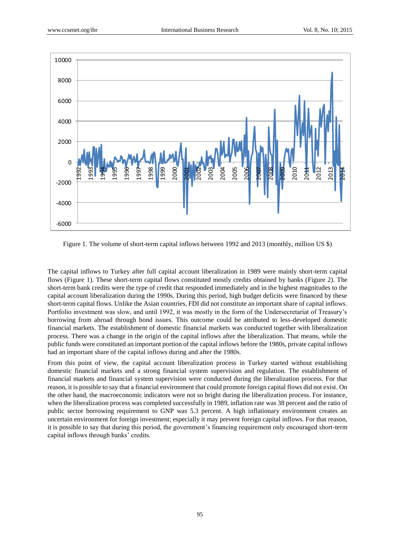

Figure 1. The volume of short-term capital inflows between 1992 and 2013 (monthly, million US \$)

The capital inflows to Turkey after full capital account liberalization in 1989 were mainly short-term capital flows (Figure 1). These short-term capital flows constituted mostly credits obtained by banks (Figure 2). The short-term bank credits were the type of credit that responded immediately and in the highest magnitudes to the capital account liberalization during the 1990s. During this period, high budget deficits were financed by these short-term capital flows. Unlike the Asian countries, FDI did not constitute an important share of capital inflows. Portfolio investment was slow, and until 1992, it was mostly in the form of the Undersecretariat of Treasury's borrowing from abroad through bond issues. This outcome could be attributed to less-developed domestic financial markets. The establishment of domestic financial markets was conducted together with liberalization process. There was a change in the origin of the capital inflows after the liberalization. That means, while the public funds were constituted an important portion of the capital inflows before the 1980s, private capital inflows had an important share of the capital inflows during and after the 1980s.

From this point of view, the capital account liberalization process in Turkey started without establishing domestic financial markets and a strong financial system supervision and regulation. The establishment of financial markets and financial system supervision were conducted during the liberalization process. For that reason, it is possible to say that a financial environment that could promote foreign capital flows did not exist. On the other hand, the macroeconomic indicators were not so bright during the liberalization process. For instance, when the liberalization process was completed successfully in 1989, inflation rate was 38 percent and the ratio of public sector borrowing requirement to GNP was 5.3 percent. A high inflationary environment creates an uncertain environment for foreign investment; especially it may prevent foreign capital inflows. For that reason, it is possible to say that during this period, the government's financing requirement only encouraged short-term capital inflows through banks' credits.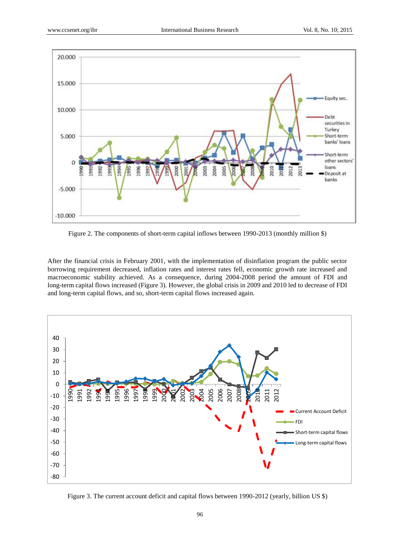

Figure 2. The components of short-term capital inflows between 1990-2013 (monthly million \$)

After the financial crisis in February 2001, with the implementation of disinflation program the public sector borrowing requirement decreased, inflation rates and interest rates fell, economic growth rate increased and macroeconomic stability achieved. As a consequence, during 2004-2008 period the amount of FDI and long-term capital flows increased (Figure 3). However, the global crisis in 2009 and 2010 led to decrease of FDI and long-term capital flows, and so, short-term capital flows increased again.



Figure 3. The current account deficit and capital flows between 1990-2012 (yearly, billion US \$)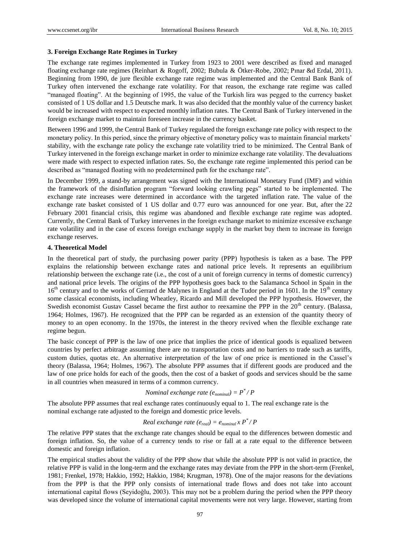#### **3. Foreign Exchange Rate Regimes in Turkey**

The exchange rate regimes implemented in Turkey from 1923 to 2001 were described as fixed and managed floating exchange rate regimes (Reinhart & Rogoff, 2002; Bubula & Ö tker-Robe, 2002; Pınar &d Erdal, 2011). Beginning from 1990, de jure flexible exchange rate regime was implemented and the Central Bank Bank of Turkey often intervened the exchange rate volatility. For that reason, the exchange rate regime was called "managed floating". At the beginning of 1995, the value of the Turkish lira was pegged to the currency basket consisted of 1 US dollar and 1.5 Deutsche mark. It was also decided that the monthly value of the currency basket would be increased with respect to expected monthly inflation rates. The Central Bank of Turkey intervened in the foreign exchange market to maintain foreseen increase in the currency basket.

Between 1996 and 1999, the Central Bank of Turkey regulated the foreign exchange rate policy with respect to the monetary policy. In this period, since the primary objective of monetary policy was to maintain financial markets' stability, with the exchange rate policy the exchange rate volatility tried to be minimized. The Central Bank of Turkey intervened in the foreign exchange market in order to minimize exchange rate volatility. The devaluations were made with respect to expected inflation rates. So, the exchange rate regime implemented this period can be described as "managed floating with no predetermined path for the exchange rate".

In December 1999, a stand-by arrangement was signed with the International Monetary Fund (IMF) and within the framework of the disinflation program "forward looking crawling pegs" started to be implemented. The exchange rate increases were determined in accordance with the targeted inflation rate. The value of the exchange rate basket consisted of 1 US dollar and 0.77 euro was announced for one year. But, after the 22 February 2001 financial crisis, this regime was abandoned and flexible exchange rate regime was adopted. Currently, the Central Bank of Turkey intervenes in the foreign exchange market to minimize excessive exchange rate volatility and in the case of excess foreign exchange supply in the market buy them to increase its foreign exchange reserves.

#### **4. Theoretical Model**

In the theoretical part of study, the purchasing power parity (PPP) hypothesis is taken as a base. The PPP explains the relationship between exchange rates and national price levels. It represents an equilibrium relationship between the exchange rate (i.e., the cost of a unit of foreign currency in terms of domestic currency) and national price levels. The origins of the PPP hypothesis goes back to the Salamanca School in Spain in the 16<sup>th</sup> century and to the works of Gerrard de Malynes in England at the Tudor period in 1601. In the 19<sup>th</sup> century some classical economists, including Wheatley, Ricardo and Mill developed the PPP hypothesis. However, the Swedish economist Gustav Cassel became the first author to reexamine the PPP in the 20<sup>th</sup> century. (Balassa, 1964; Holmes, 1967). He recognized that the PPP can be regarded as an extension of the quantity theory of money to an open economy. In the 1970s, the interest in the theory revived when the flexible exchange rate regime begun.

The basic concept of PPP is the law of one price that implies the price of identical goods is equalized between countries by perfect arbitrage assuming there are no transportation costs and no barriers to trade such as tariffs, custom duties, quotas etc. An alternative interpretation of the law of one price is mentioned in the Cassel's theory (Balassa, 1964; Holmes, 1967). The absolute PPP assumes that if different goods are produced and the law of one price holds for each of the goods, then the cost of a basket of goods and services should be the same in all countries when measured in terms of a common currency.

# *Nominal exchange rate*  $(e_{nominal}) = P^* / P$

The absolute PPP assumes that real exchange rates continuously equal to 1. The real exchange rate is the nominal exchange rate adjusted to the foreign and domestic price levels.

# *Real exchange rate*  $(e_{real}) = e_{nominal} x P^* / P$

The relative PPP states that the exchange rate changes should be equal to the differences between domestic and foreign inflation. So, the value of a currency tends to rise or fall at a rate equal to the difference between domestic and foreign inflation.

The empirical studies about the validity of the PPP show that while the absolute PPP is not valid in practice, the relative PPP is valid in the long-term and the exchange rates may deviate from the PPP in the short-term (Frenkel, 1981; Frenkel, 1978; Hakkio, 1992; Hakkio, 1984; Krugman, 1978). One of the major reasons for the deviations from the PPP is that the PPP only consists of international trade flows and does not take into account international capital flows (Seyidoğlu, 2003). This may not be a problem during the period when the PPP theory was developed since the volume of international capital movements were not very large. However, starting from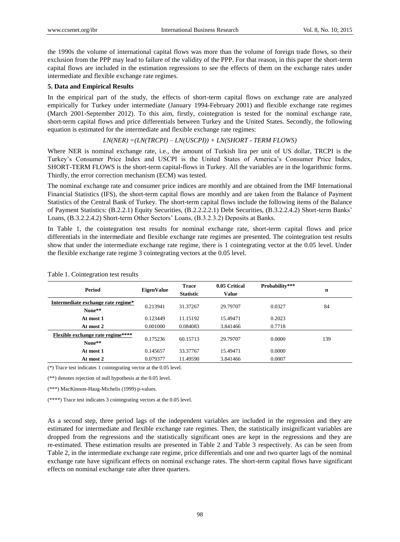the 1990s the volume of international capital flows was more than the volume of foreign trade flows, so their exclusion from the PPP may lead to failure of the validity of the PPP. For that reason, in this paper the short-term capital flows are included in the estimation regressions to see the effects of them on the exchange rates under intermediate and flexible exchange rate regimes.

#### **5. Data and Empirical Results**

In the empirical part of the study, the effects of short-term capital flows on exchange rate are analyzed empirically for Turkey under intermediate (January 1994-February 2001) and flexible exchange rate regimes (March 2001-September 2012). To this aim, firstly, cointegration is tested for the nominal exchange rate, short-term capital flows and price differentials between Turkey and the United States. Secondly, the following equation is estimated for the intermediate and flexible exchange rate regimes:

## *LN(NER) =(LN(TRCPI) – LN(USCPI)) + LN(SHORT - TERM FLOWS)*

Where NER is nominal exchange rate, i.e., the amount of Turkish lira per unit of US dollar, TRCPI is the Turkey's Consumer Price Index and USCPI is the United States of America's Consumer Price Index, SHORT-TERM FLOWS is the short-term capital-flows in Turkey. All the variables are in the logarithmic forms. Thirdly, the error correction mechanism (ECM) was tested.

The nominal exchange rate and consumer price indices are monthly and are obtained from the IMF International Financial Statistics (IFS), the short-term capital flows are monthly and are taken from the Balance of Payment Statistics of the Central Bank of Turkey. The short-term capital flows include the following items of the Balance of Payment Statistics: (B.2.2.1) Equity Securities, (B.2.2.2.2.1) Debt Securities, (B.3.2.2.4.2) Short-term Banks' Loans, (B.3.2.2.4.2) Short-term Other Sectors' Loans, (B.3.2.3.2) Deposits at Banks.

In Table 1, the cointegration test results for nominal exchange rate, short-term capital flows and price differentials in the intermediate and flexible exchange rate regimes are presented. The cointegration test results show that under the intermediate exchange rate regime, there is 1 cointegrating vector at the 0.05 level. Under the flexible exchange rate regime 3 cointegrating vectors at the 0.05 level.

| Period                                             | <b>EigenValue</b> | <b>Trace</b><br><b>Statistic</b> | 0.05 Critical<br><b>Value</b> | Probability*** | n   |
|----------------------------------------------------|-------------------|----------------------------------|-------------------------------|----------------|-----|
| Intermediate exchange rate regime*<br>None**       | 0.213941          | 31.37267                         | 29.79707                      | 0.0327         | 84  |
| At most 1                                          | 0.123449          | 11.15192                         | 15.49471                      | 0.2023         |     |
| At most 2                                          | 0.001000          | 0.084083                         | 3.841466                      | 0.7718         |     |
| <b>Flexible exchange rate regime****</b><br>None** | 0.175236          | 60.15713                         | 29.79707                      | 0.0000         | 139 |
| At most 1                                          | 0.145657          | 33.37767                         | 15.49471                      | 0.0000         |     |
| At most 2                                          | 0.079377          | 11.49590                         | 3.841466                      | 0.0007         |     |

#### Table 1. Cointegration test results

(\*) Trace test indicates 1 cointegrating vector at the 0.05 level.

(\*\*) denotes rejection of null hypothesis at the 0.05 level.

(\*\*\*) MacKinnon-Haug-Michelis (1999) p-values.

(\*\*\*\*) Trace test indicates 3 cointegrating vectors at the 0.05 level.

As a second step, three period lags of the independent variables are included in the regression and they are estimated for intermediate and flexible exchange rate regimes. Then, the statistically insignificant variables are dropped from the regressions and the statistically significant ones are kept in the regressions and they are re-estimated. These estimation results are presented in Table 2 and Table 3 respectively. As can be seen from Table 2, in the intermediate exchange rate regime, price differentials and one and two quarter lags of the nominal exchange rate have significant effects on nominal exchange rates. The short-term capital flows have significant effects on nominal exchange rate after three quarters.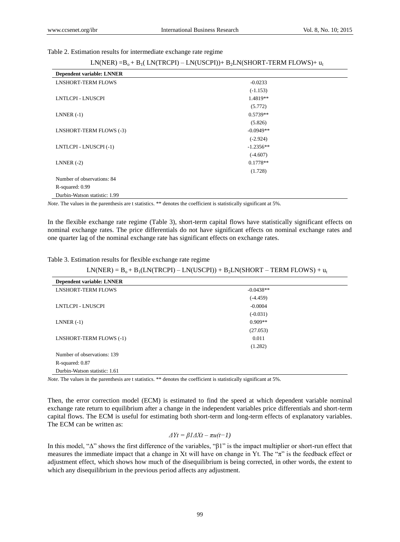Table 2. Estimation results for intermediate exchange rate regime

| $LN(NER) = B_0 + B_1(LN(TRCPI) - LN(USCPI)) + B_2LN(SHORT-TERM FLOWS) + u_t$ |  |  |  |
|------------------------------------------------------------------------------|--|--|--|
|------------------------------------------------------------------------------|--|--|--|

| <b>Dependent variable: LNNER</b> |             |
|----------------------------------|-------------|
| <b>LNSHORT-TERM FLOWS</b>        | $-0.0233$   |
|                                  | $(-1.153)$  |
| LNTLCPI - LNUSCPI                | 1.4819**    |
|                                  | (5.772)     |
| LNNER $(-1)$                     | $0.5739**$  |
|                                  | (5.826)     |
| LNSHORT-TERM FLOWS (-3)          | $-0.0949**$ |
|                                  | $(-2.924)$  |
| LNTLCPI - LNUSCPI (-1)           | $-1.2356**$ |
|                                  | $(-4.607)$  |
| LNNER $(-2)$                     | $0.1778**$  |
|                                  | (1.728)     |
| Number of observations: 84       |             |
| R-squared: 0.99                  |             |
| Durbin-Watson statistic: 1.99    |             |

*Note*. The values in the parenthesis are t statistics. \*\* denotes the coefficient is statistically significant at 5%.

In the flexible exchange rate regime (Table 3), short-term capital flows have statistically significant effects on nominal exchange rates. The price differentials do not have significant effects on nominal exchange rates and one quarter lag of the nominal exchange rate has significant effects on exchange rates.

Table 3. Estimation results for flexible exchange rate regime

 $LN(NER) = B_0 + B_1(LN(TRCPI) - LN(USCPI)) + B_2LN(SHORT - TERM FLOWS) + u_t$ 

| <b>Dependent variable: LNNER</b> |             |
|----------------------------------|-------------|
| <b>LNSHORT-TERM FLOWS</b>        | $-0.0438**$ |
|                                  | $(-4.459)$  |
| LNTLCPI - LNUSCPI                | $-0.0004$   |
|                                  | $(-0.031)$  |
| LNNER $(-1)$                     | $0.909**$   |
|                                  | (27.053)    |
| LNSHORT-TERM FLOWS (-1)          | 0.011       |
|                                  | (1.282)     |
| Number of observations: 139      |             |
| R-squared: 0.87                  |             |
| Durbin-Watson statistic: 1.61    |             |

*Note.* The values in the parenthesis are t statistics. \*\* denotes the coefficient is statistically significant at 5%.

Then, the error correction model (ECM) is estimated to find the speed at which dependent variable nominal exchange rate return to equilibrium after a change in the independent variables price differentials and short-term capital flows. The ECM is useful for estimating both short-term and long-term effects of explanatory variables. The ECM can be written as:

# *ΔYt = β1ΔXt – πu(t−1)*

In this model, "Δ" shows the first difference of the variables, "β1" is the impact multiplier or short-run effect that measures the immediate impact that a change in Xt will have on change in Yt. The "π" is the feedback effect or adjustment effect, which shows how much of the disequilibrium is being corrected, in other words, the extent to which any disequilibrium in the previous period affects any adjustment.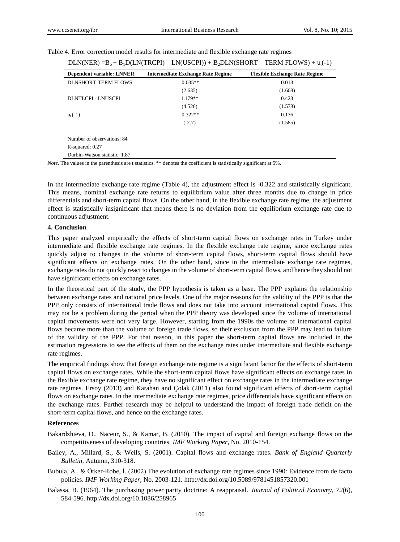| <b>Dependent variable: LNNER</b> | <b>Intermediate Exchange Rate Regime</b> | <b>Flexible Exchange Rate Regime</b> |
|----------------------------------|------------------------------------------|--------------------------------------|
| DLNSHORT-TERM FLOWS              | $-0.035**$                               | 0.013                                |
|                                  | (2.635)                                  | (1.608)                              |
| DLNTLCPI - LNUSCPI               | $1.179**$                                | 0.423                                |
|                                  | (4.526)                                  | (1.578)                              |
| $u_t(-1)$                        | $-0.322**$                               | 0.136                                |
|                                  | $(-2.7)$                                 | (1.585)                              |
| Number of observations: 84       |                                          |                                      |
| R-squared: 0.27                  |                                          |                                      |
| Durbin-Watson statistic: 1.87    |                                          |                                      |

#### Table 4. Error correction model results for intermediate and flexible exchange rate regimes

*Note*. The values in the parenthesis are t statistics. \*\* denotes the coefficient is statistically significant at 5%.

In the intermediate exchange rate regime (Table 4), the adjustment effect is -0.322 and statistically significant. This means, nominal exchange rate returns to equilibrium value after three months due to change in price differentials and short-term capital flows. On the other hand, in the flexible exchange rate regime, the adjustment effect is statistically insignificant that means there is no deviation from the equilibrium exchange rate due to continuous adjustment.

### **4. Conclusion**

This paper analyzed empirically the effects of short-term capital flows on exchange rates in Turkey under intermediate and flexible exchange rate regimes. In the flexible exchange rate regime, since exchange rates quickly adjust to changes in the volume of short-term capital flows, short-term capital flows should have significant effects on exchange rates. On the other hand, since in the intermediate exchange rate regimes, exchange rates do not quickly react to changes in the volume of short-term capital flows, and hence they should not have significant effects on exchange rates.

In the theoretical part of the study, the PPP hypothesis is taken as a base. The PPP explains the relationship between exchange rates and national price levels. One of the major reasons for the validity of the PPP is that the PPP only consists of international trade flows and does not take into account international capital flows. This may not be a problem during the period when the PPP theory was developed since the volume of international capital movements were not very large. However, starting from the 1990s the volume of international capital flows became more than the volume of foreign trade flows, so their exclusion from the PPP may lead to failure of the validity of the PPP. For that reason, in this paper the short-term capital flows are included in the estimation regressions to see the effects of them on the exchange rates under intermediate and flexible exchange rate regimes.

The empirical findings show that foreign exchange rate regime is a significant factor for the effects of short-term capital flows on exchange rates. While the short-term capital flows have significant effects on exchange rates in the flexible exchange rate regime, they have no significant effect on exchange rates in the intermediate exchange rate regimes. Ersoy (2013) and Karahan and Ç olak (2011) also found significant effects of short-term capital flows on exchange rates. In the intermediate exchange rate regimes, price differentials have significant effects on the exchange rates. Further research may be helpful to understand the impact of foreign trade deficit on the short-term capital flows, and hence on the exchange rates.

### **References**

- Bakardzhieva, D., Naceur, S., & Kamar, B. (2010)*.* The impact of capital and foreign exchange flows on the competitiveness of developing countries. *IMF Working Paper,* No. 2010-154.
- Bailey, A., Millard, S., & Wells, S. (2001). Capital flows and exchange rates. *Bank of England Quarterly Bulletin,* Autumn, 310-318.
- Bubula, A., & Ö tker-Robe, İ. (2002).The evolution of exchange rate regimes since 1990: Evidence from de facto policies. *IMF Working Paper,* No. 2003-121. http://dx.doi.org/10.5089/9781451857320.001
- Balassa, B. (1964). The purchasing power parity doctrine: A reappraisal. *Journal of Political Economy, 72*(6), 584-596. http://dx.doi.org/10.1086/258965